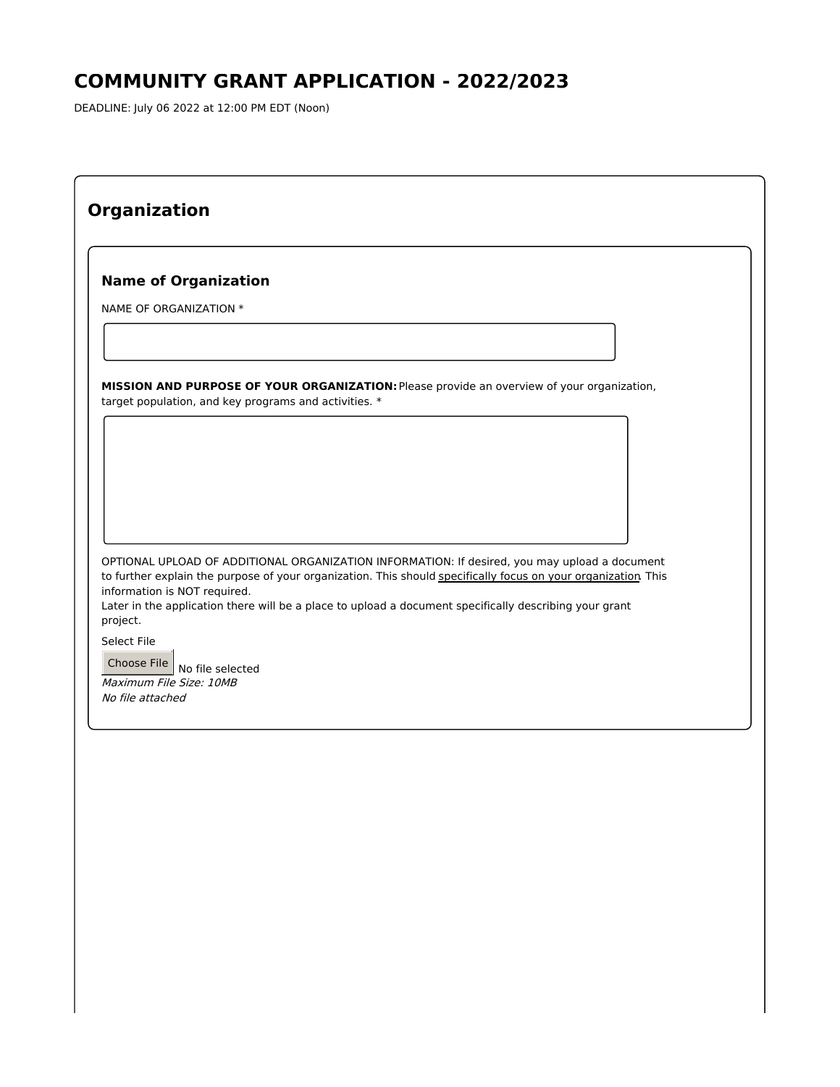# **COMMUNITY GRANT APPLICATION - 2022/2023**

DEADLINE: July 06 2022 at 12:00 PM EDT (Noon)

| <b>Name of Organization</b>                                                                                                                                                                                    |  |
|----------------------------------------------------------------------------------------------------------------------------------------------------------------------------------------------------------------|--|
| NAME OF ORGANIZATION *                                                                                                                                                                                         |  |
|                                                                                                                                                                                                                |  |
|                                                                                                                                                                                                                |  |
| MISSION AND PURPOSE OF YOUR ORGANIZATION: Please provide an overview of your organization,<br>target population, and key programs and activities. *                                                            |  |
|                                                                                                                                                                                                                |  |
|                                                                                                                                                                                                                |  |
|                                                                                                                                                                                                                |  |
|                                                                                                                                                                                                                |  |
|                                                                                                                                                                                                                |  |
|                                                                                                                                                                                                                |  |
| OPTIONAL UPLOAD OF ADDITIONAL ORGANIZATION INFORMATION: If desired, you may upload a document<br>to further explain the purpose of your organization. This should specifically focus on your organization This |  |
| information is NOT required.<br>Later in the application there will be a place to upload a document specifically describing your grant                                                                         |  |
| project.                                                                                                                                                                                                       |  |
| Select File                                                                                                                                                                                                    |  |
| Choose File                                                                                                                                                                                                    |  |
| No file selected                                                                                                                                                                                               |  |
| Maximum File Size: 10MB<br>No file attached                                                                                                                                                                    |  |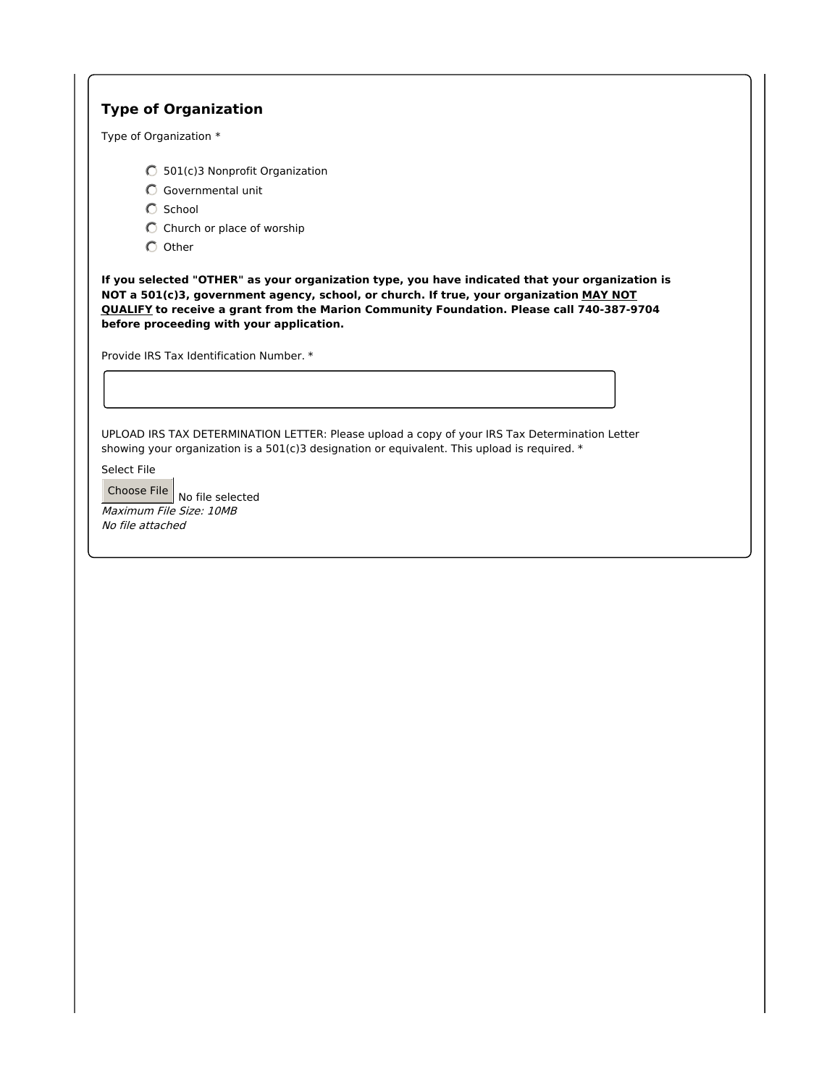# **Type of Organization**

Type of Organization \*

- 501(c)3 Nonprofit Organization
- Governmental unit
- $O$  School
- $\bigcirc$  Church or place of worship
- $O$  Other

**If you selected "OTHER" as your organization type, you have indicated that your organization is NOT a 501(c)3, government agency, school, or church. If true, your organization MAY NOT QUALIFY to receive a grant from the Marion Community Foundation. Please call 740-387-9704 before proceeding with your application.**

Provide IRS Tax Identification Number. \*

UPLOAD IRS TAX DETERMINATION LETTER: Please upload a copy of your IRS Tax Determination Letter showing your organization is a 501(c)3 designation or equivalent. This upload is required. \*

Select File

Choose File  $\vert$  No file selected Maximum File Size: 10MB No file attached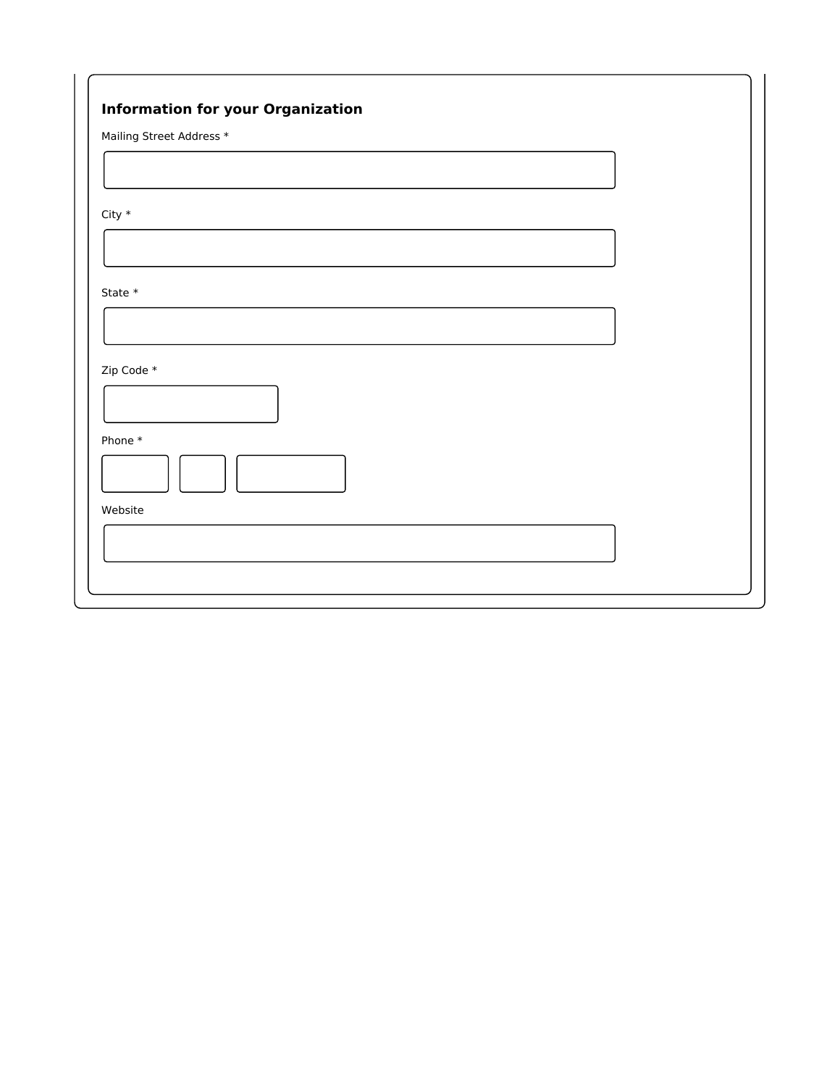| Mailing Street Address * |  |  |  |
|--------------------------|--|--|--|
|                          |  |  |  |
|                          |  |  |  |
| City $^\ast$             |  |  |  |
|                          |  |  |  |
|                          |  |  |  |
| State $*$                |  |  |  |
|                          |  |  |  |
|                          |  |  |  |
| Zip Code *               |  |  |  |
|                          |  |  |  |
| Phone*                   |  |  |  |
|                          |  |  |  |
| Website                  |  |  |  |
|                          |  |  |  |
|                          |  |  |  |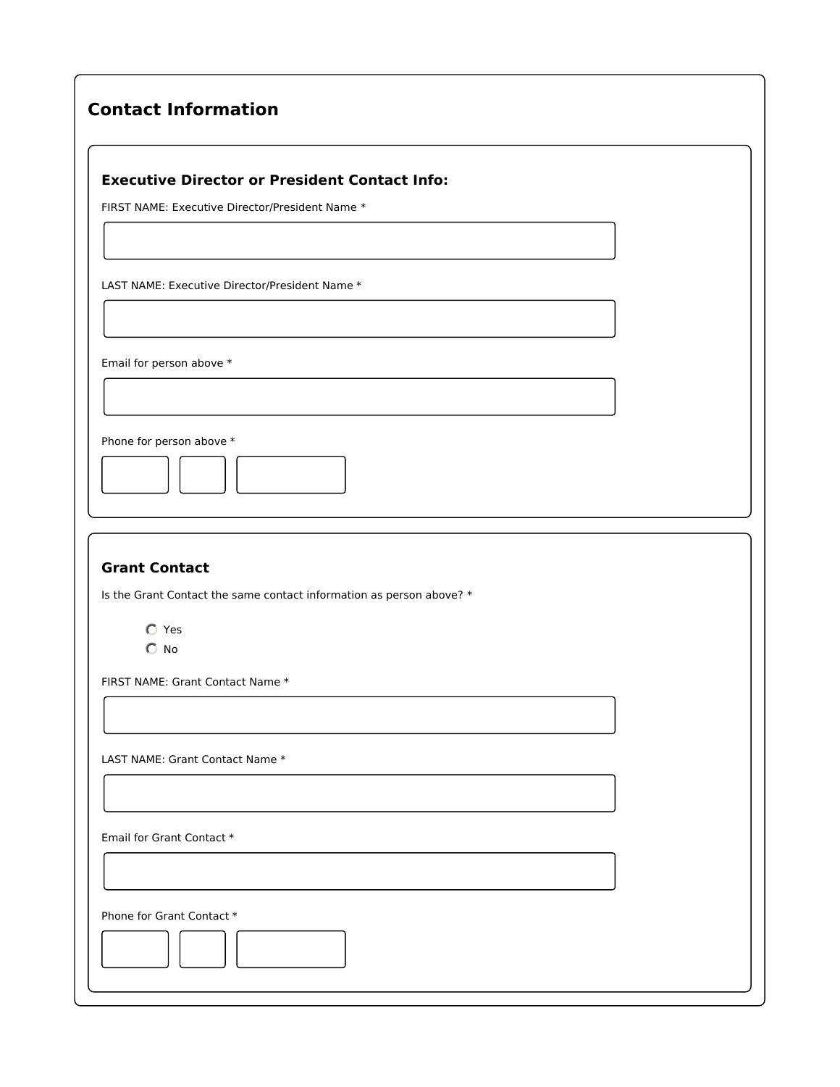| <b>Contact Information</b> |
|----------------------------|
|                            |

### **Executive Director or President Contact Info:**

FIRST NAME: Executive Director/President Name \*

LAST NAME: Executive Director/President Name \*

Email for person above \*

Phone for person above \*

# **Grant Contact**

Is the Grant Contact the same contact information as person above? \*

Yes  $\bigcirc$  No

FIRST NAME: Grant Contact Name \*

LAST NAME: Grant Contact Name \*

Email for Grant Contact \*

Phone for Grant Contact \*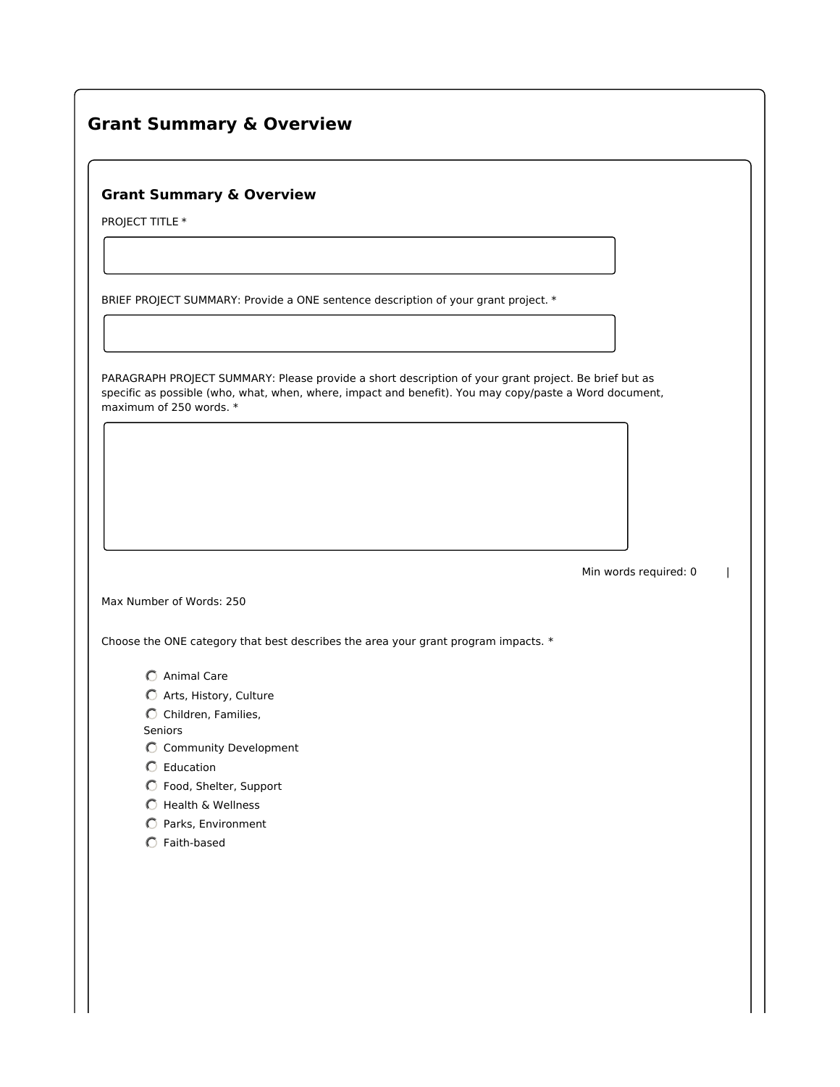# **Grant Summary & Overview**

## **Grant Summary & Overview**

PROJECT TITLE \*

BRIEF PROJECT SUMMARY: Provide a ONE sentence description of your grant project. \*

PARAGRAPH PROJECT SUMMARY: Please provide a short description of your grant project. Be brief but as specific as possible (who, what, when, where, impact and benefit). You may copy/paste a Word document, maximum of 250 words. \*

Min words required: 0 |

Max Number of Words: 250

Choose the ONE category that best describes the area your grant program impacts. \*

- Animal Care
- $\bullet$  Arts, History, Culture
- $\bigcirc$  Children, Families,

Seniors

- Community Development
- Education
- Food, Shelter, Support
- $O$  Health & Wellness
- **C** Parks, Environment
- Faith-based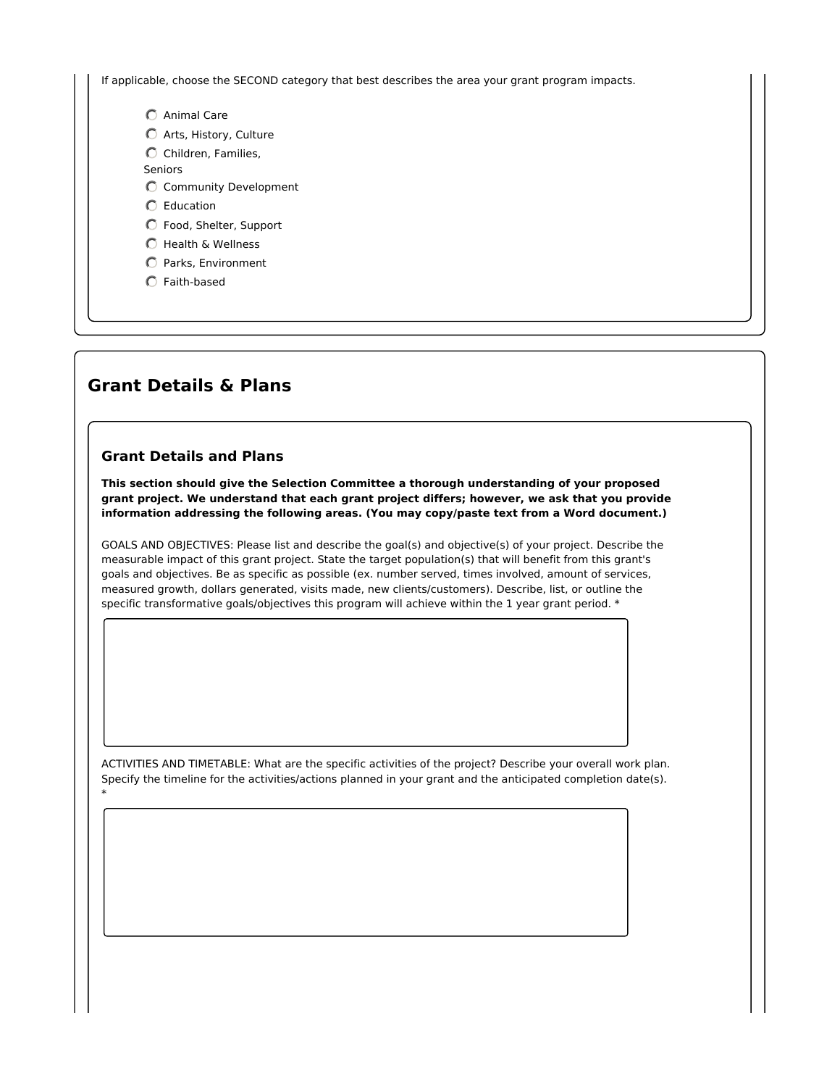If applicable, choose the SECOND category that best describes the area your grant program impacts.

- Animal Care
- Arts, History, Culture
- $\bigcirc$  Children, Families,

Seniors

- Community Development
- Education
- Food, Shelter, Support
- C Health & Wellness
- Parks, Environment
- Faith-based

# **Grant Details & Plans**

#### **Grant Details and Plans**

**This section should give the Selection Committee a thorough understanding of your proposed grant project. We understand that each grant project differs; however, we ask that you provide information addressing the following areas. (You may copy/paste text from a Word document.)**

GOALS AND OBJECTIVES: Please list and describe the goal(s) and objective(s) of your project. Describe the measurable impact of this grant project. State the target population(s) that will benefit from this grant's goals and objectives. Be as specific as possible (ex. number served, times involved, amount of services, measured growth, dollars generated, visits made, new clients/customers). Describe, list, or outline the specific transformative goals/objectives this program will achieve within the 1 year grant period. \*

ACTIVITIES AND TIMETABLE: What are the specific activities of the project? Describe your overall work plan. Specify the timeline for the activities/actions planned in your grant and the anticipated completion date(s). \*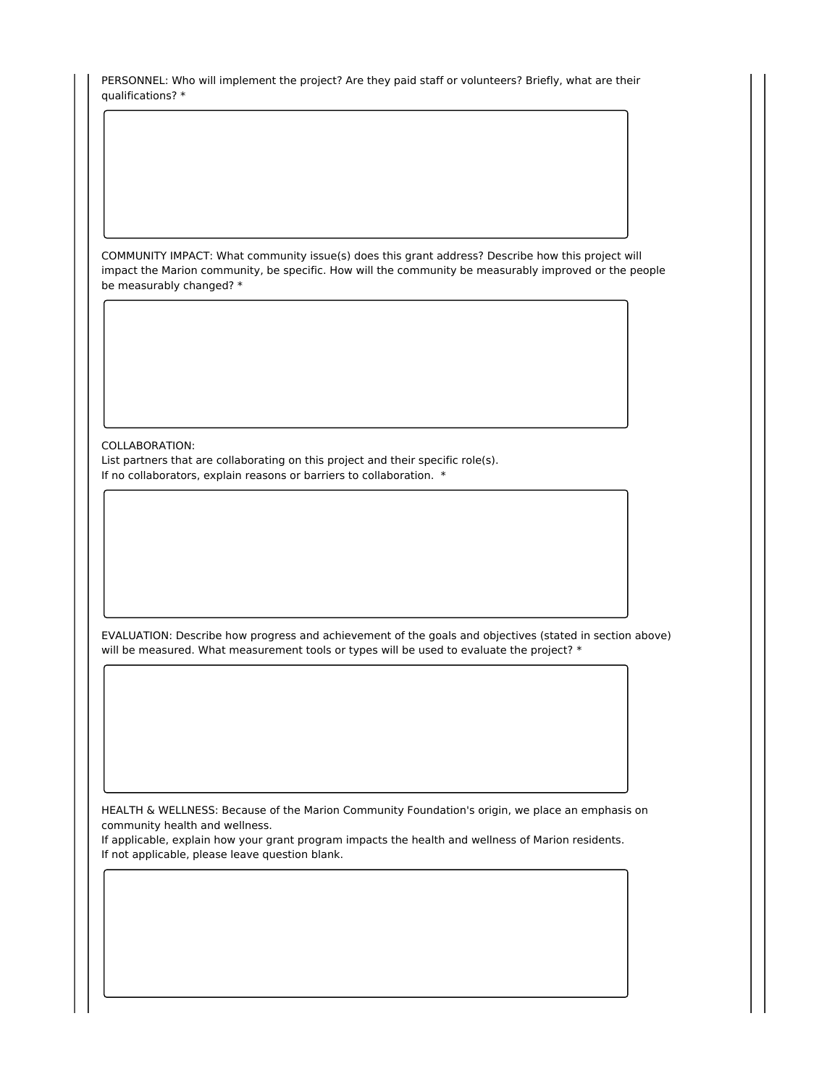PERSONNEL: Who will implement the project? Are they paid staff or volunteers? Briefly, what are their qualifications? \*

COMMUNITY IMPACT: What community issue(s) does this grant address? Describe how this project will impact the Marion community, be specific. How will the community be measurably improved or the people be measurably changed? \*

COLLABORATION: List partners that are collaborating on this project and their specific role(s). If no collaborators, explain reasons or barriers to collaboration. \*

EVALUATION: Describe how progress and achievement of the goals and objectives (stated in section above) will be measured. What measurement tools or types will be used to evaluate the project? \*

HEALTH & WELLNESS: Because of the Marion Community Foundation's origin, we place an emphasis on community health and wellness.

If applicable, explain how your grant program impacts the health and wellness of Marion residents. If not applicable, please leave question blank.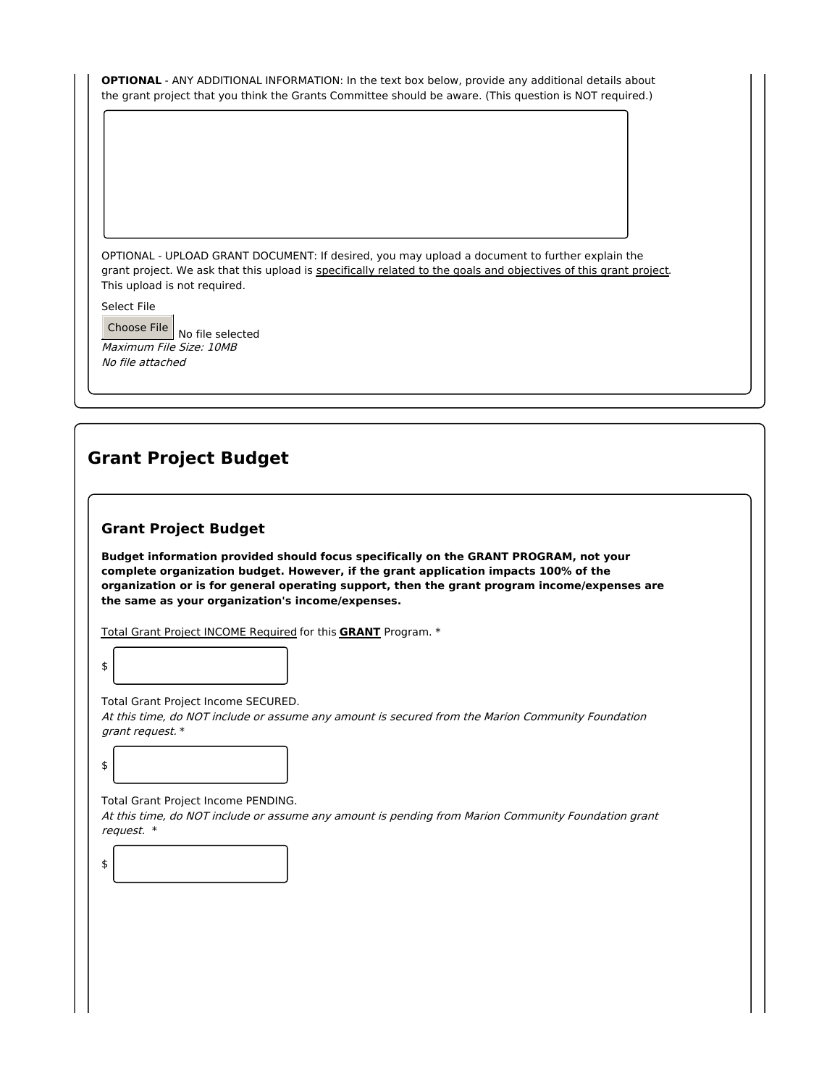| <b>OPTIONAL</b> - ANY ADDITIONAL INFORMATION: In the text box below, provide any additional details about |  |
|-----------------------------------------------------------------------------------------------------------|--|
| the grant project that you think the Grants Committee should be aware. (This question is NOT required.)   |  |

OPTIONAL - UPLOAD GRANT DOCUMENT: If desired, you may upload a document to further explain the grant project. We ask that this upload is specifically related to the goals and objectives of this grant project. This upload is not required.

Select File

Choose File  $\vert$  No file selected Maximum File Size: 10MB No file attached

# **Grant Project Budget**

#### **Grant Project Budget**

**Budget information provided should focus specifically on the GRANT PROGRAM, not your complete organization budget. However, if the grant application impacts 100% of the organization or is for general operating support, then the grant program income/expenses are the same as your organization's income/expenses.**

Total Grant Project INCOME Required for this **GRANT** Program. \*

Total Grant Project Income SECURED. At this time, do NOT include or assume any amount is secured from the Marion Community Foundation grant request. \*

\$

\$

\$

Total Grant Project Income PENDING.

At this time, do NOT include or assume any amount is pending from Marion Community Foundation grant request. \*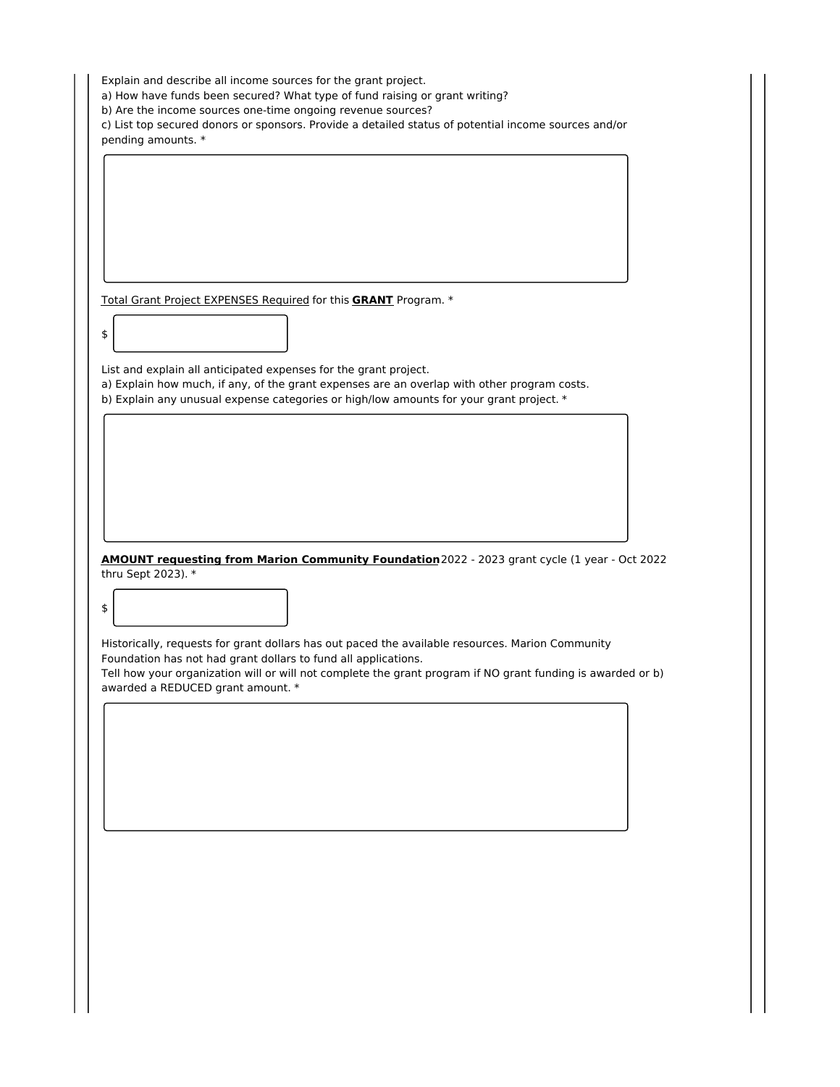Explain and describe all income sources for the grant project.

a) How have funds been secured? What type of fund raising or grant writing?

b) Are the income sources one-time ongoing revenue sources?

c) List top secured donors or sponsors. Provide a detailed status of potential income sources and/or pending amounts. \*

Total Grant Project EXPENSES Required for this **GRANT** Program. \*

List and explain all anticipated expenses for the grant project.

\$

\$

a) Explain how much, if any, of the grant expenses are an overlap with other program costs.

b) Explain any unusual expense categories or high/low amounts for your grant project. \*

**AMOUNT requesting from Marion Community Foundation**2022 - 2023 grant cycle (1 year - Oct 2022 thru Sept 2023). \*

Historically, requests for grant dollars has out paced the available resources. Marion Community Foundation has not had grant dollars to fund all applications.

Tell how your organization will or will not complete the grant program if NO grant funding is awarded or b) awarded a REDUCED grant amount. \*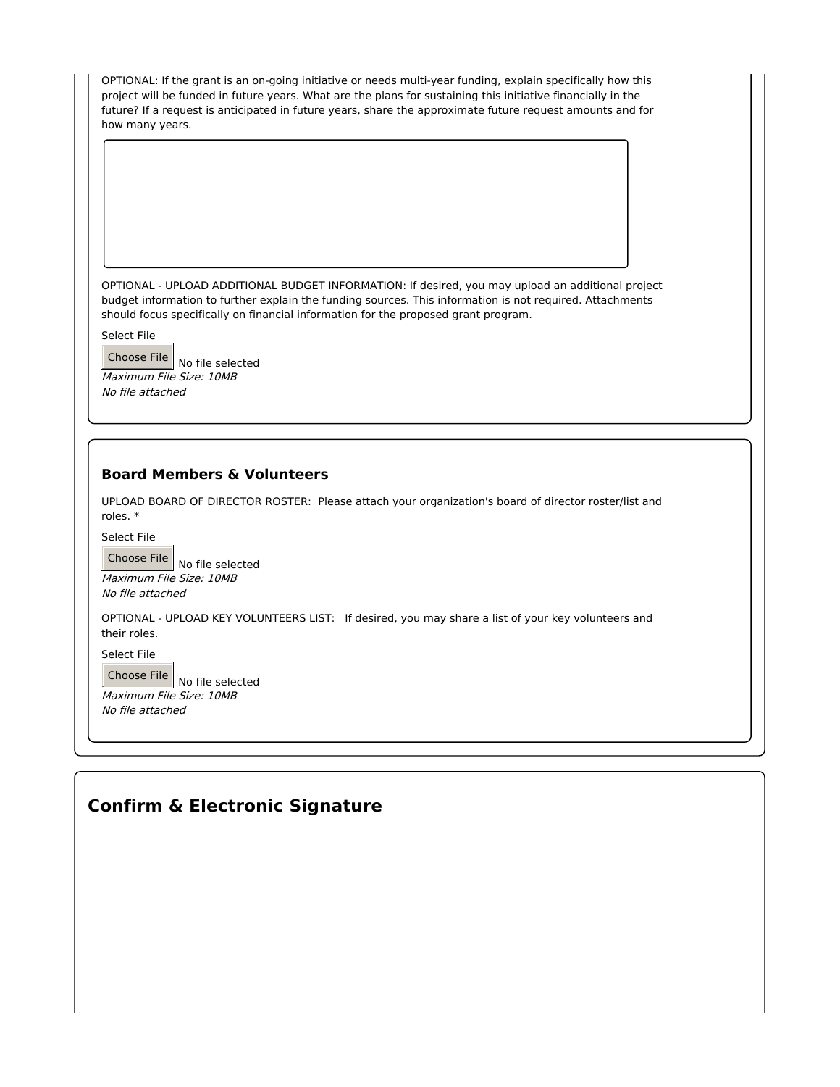OPTIONAL: If the grant is an on-going initiative or needs multi-year funding, explain specifically how this project will be funded in future years. What are the plans for sustaining this initiative financially in the future? If a request is anticipated in future years, share the approximate future request amounts and for how many years.

OPTIONAL - UPLOAD ADDITIONAL BUDGET INFORMATION: If desired, you may upload an additional project budget information to further explain the funding sources. This information is not required. Attachments should focus specifically on financial information for the proposed grant program.

Select File

Choose File  $\vert$  No file selected Maximum File Size: 10MB No file attached

## **Board Members & Volunteers**

UPLOAD BOARD OF DIRECTOR ROSTER: Please attach your organization's board of director roster/list and roles. \*

Select File

Choose File  $\vert$  No file selected Maximum File Size: 10MB No file attached

OPTIONAL - UPLOAD KEY VOLUNTEERS LIST: If desired, you may share a list of your key volunteers and their roles.

Select File

Choose File  $\vert$  No file selected Maximum File Size: 10MB No file attached

# **Confirm & Electronic Signature**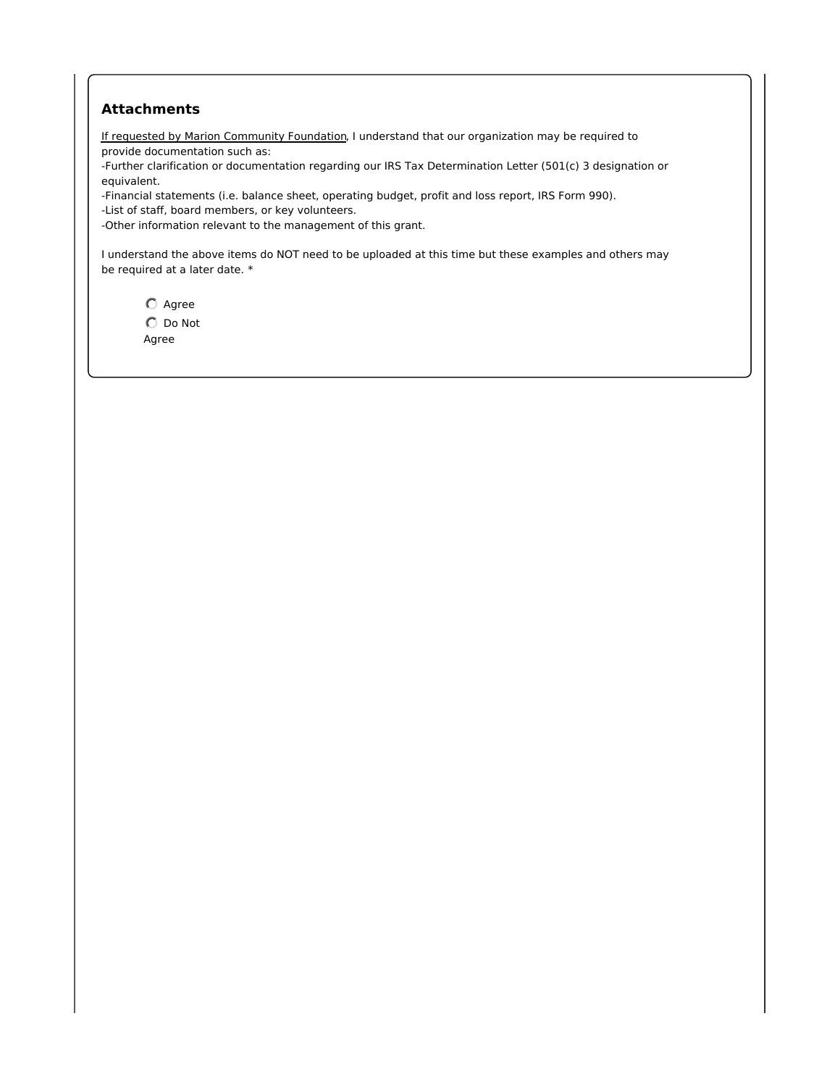### **Attachments**

If requested by Marion Community Foundation, I understand that our organization may be required to provide documentation such as:

-Further clarification or documentation regarding our IRS Tax Determination Letter (501(c) 3 designation or equivalent.

-Financial statements (i.e. balance sheet, operating budget, profit and loss report, IRS Form 990).

-List of staff, board members, or key volunteers.

-Other information relevant to the management of this grant.

I understand the above items do NOT need to be uploaded at this time but these examples and others may be required at a later date. \*

 $O$  Agree  $\bigcirc$  Do Not Agree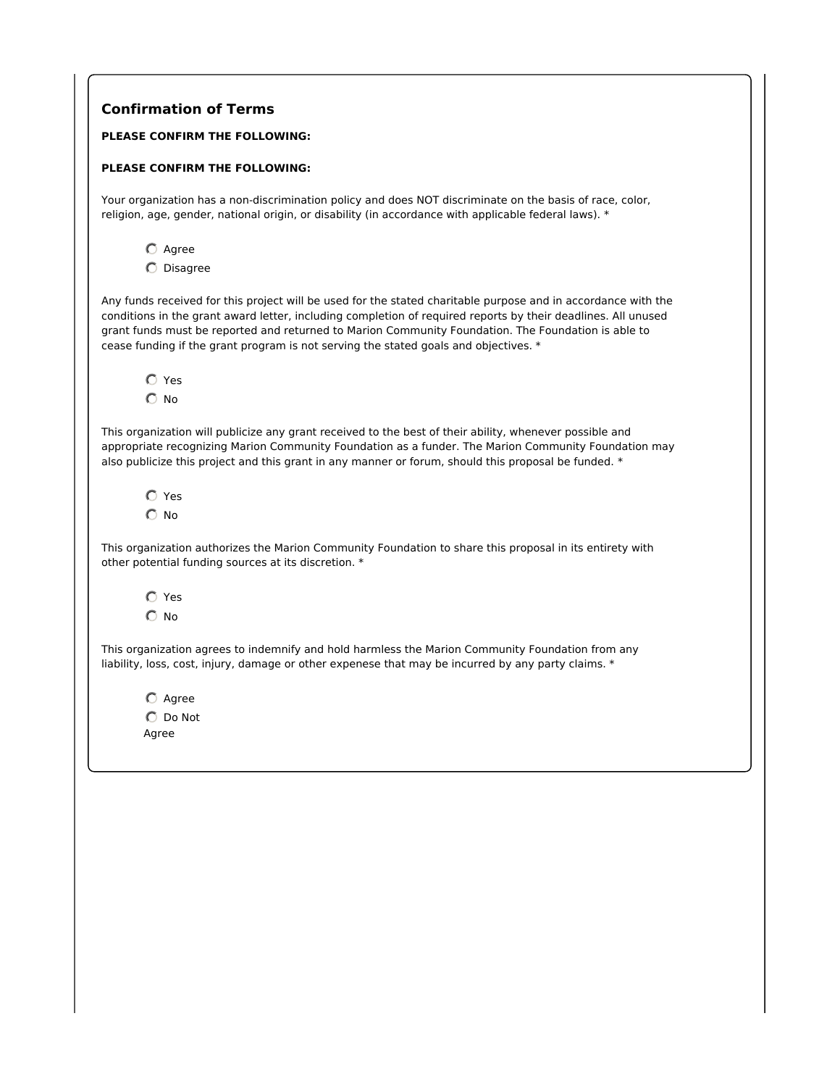| <b>Confirmation of Terms</b> |                                                                                                                                                                                                                                                                                                                                                                                                                               |
|------------------------------|-------------------------------------------------------------------------------------------------------------------------------------------------------------------------------------------------------------------------------------------------------------------------------------------------------------------------------------------------------------------------------------------------------------------------------|
|                              | PLEASE CONFIRM THE FOLLOWING:                                                                                                                                                                                                                                                                                                                                                                                                 |
|                              | PLEASE CONFIRM THE FOLLOWING:                                                                                                                                                                                                                                                                                                                                                                                                 |
|                              | Your organization has a non-discrimination policy and does NOT discriminate on the basis of race, color,<br>religion, age, gender, national origin, or disability (in accordance with applicable federal laws). *                                                                                                                                                                                                             |
| $O$ Agree                    |                                                                                                                                                                                                                                                                                                                                                                                                                               |
| $O$ Disagree                 |                                                                                                                                                                                                                                                                                                                                                                                                                               |
|                              | Any funds received for this project will be used for the stated charitable purpose and in accordance with the<br>conditions in the grant award letter, including completion of required reports by their deadlines. All unused<br>grant funds must be reported and returned to Marion Community Foundation. The Foundation is able to<br>cease funding if the grant program is not serving the stated goals and objectives. * |
| $\bigcap$ Yes                |                                                                                                                                                                                                                                                                                                                                                                                                                               |
| $\bigcap$ No                 |                                                                                                                                                                                                                                                                                                                                                                                                                               |
|                              | This organization will publicize any grant received to the best of their ability, whenever possible and<br>appropriate recognizing Marion Community Foundation as a funder. The Marion Community Foundation may<br>also publicize this project and this grant in any manner or forum, should this proposal be funded. *                                                                                                       |
| $\bigcirc$ Yes               |                                                                                                                                                                                                                                                                                                                                                                                                                               |
| $\bigcirc$ No                |                                                                                                                                                                                                                                                                                                                                                                                                                               |
|                              | This organization authorizes the Marion Community Foundation to share this proposal in its entirety with<br>other potential funding sources at its discretion. *                                                                                                                                                                                                                                                              |
| $\bigcirc$ Yes               |                                                                                                                                                                                                                                                                                                                                                                                                                               |
| $\bigcirc$ No                |                                                                                                                                                                                                                                                                                                                                                                                                                               |
|                              | This organization agrees to indemnify and hold harmless the Marion Community Foundation from any<br>liability, loss, cost, injury, damage or other expenese that may be incurred by any party claims. *                                                                                                                                                                                                                       |
| $\bigcirc$ Agree             |                                                                                                                                                                                                                                                                                                                                                                                                                               |
| $\bigcirc$ Do Not            |                                                                                                                                                                                                                                                                                                                                                                                                                               |
| Agree                        |                                                                                                                                                                                                                                                                                                                                                                                                                               |